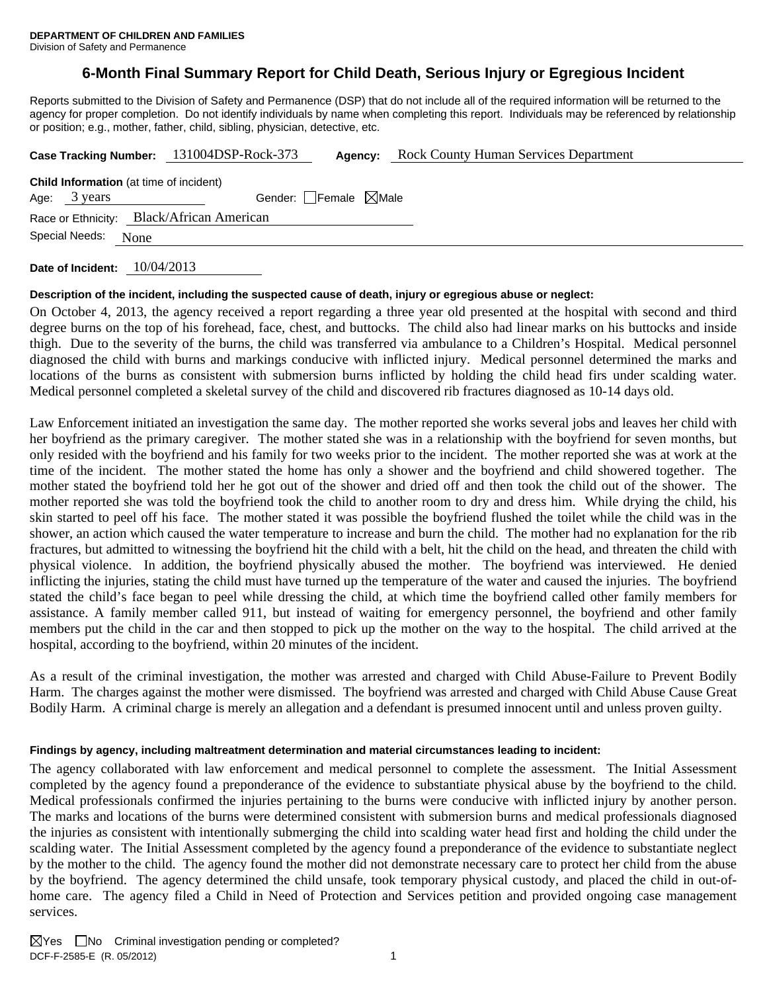## **6-Month Final Summary Report for Child Death, Serious Injury or Egregious Incident**

Reports submitted to the Division of Safety and Permanence (DSP) that do not include all of the required information will be returned to the agency for proper completion. Do not identify individuals by name when completing this report. Individuals may be referenced by relationship or position; e.g., mother, father, child, sibling, physician, detective, etc.

|                                                                |      | Case Tracking Number: 131004DSP-Rock-373  | Agency:                         | <b>Rock County Human Services Department</b> |
|----------------------------------------------------------------|------|-------------------------------------------|---------------------------------|----------------------------------------------|
| <b>Child Information</b> (at time of incident)<br>Age: 3 years |      |                                           | Gender: Female $\boxtimes$ Male |                                              |
|                                                                |      |                                           |                                 |                                              |
|                                                                |      | Race or Ethnicity: Black/African American |                                 |                                              |
| Special Needs:                                                 | None |                                           |                                 |                                              |
|                                                                |      |                                           |                                 |                                              |

**Date of Incident:** 10/04/2013

#### **Description of the incident, including the suspected cause of death, injury or egregious abuse or neglect:**

On October 4, 2013, the agency received a report regarding a three year old presented at the hospital with second and third degree burns on the top of his forehead, face, chest, and buttocks. The child also had linear marks on his buttocks and inside thigh. Due to the severity of the burns, the child was transferred via ambulance to a Children's Hospital. Medical personnel diagnosed the child with burns and markings conducive with inflicted injury. Medical personnel determined the marks and locations of the burns as consistent with submersion burns inflicted by holding the child head firs under scalding water. Medical personnel completed a skeletal survey of the child and discovered rib fractures diagnosed as 10-14 days old.

Law Enforcement initiated an investigation the same day. The mother reported she works several jobs and leaves her child with her boyfriend as the primary caregiver. The mother stated she was in a relationship with the boyfriend for seven months, but only resided with the boyfriend and his family for two weeks prior to the incident. The mother reported she was at work at the time of the incident. The mother stated the home has only a shower and the boyfriend and child showered together. The mother stated the boyfriend told her he got out of the shower and dried off and then took the child out of the shower. The mother reported she was told the boyfriend took the child to another room to dry and dress him. While drying the child, his skin started to peel off his face. The mother stated it was possible the boyfriend flushed the toilet while the child was in the shower, an action which caused the water temperature to increase and burn the child. The mother had no explanation for the rib fractures, but admitted to witnessing the boyfriend hit the child with a belt, hit the child on the head, and threaten the child with physical violence. In addition, the boyfriend physically abused the mother. The boyfriend was interviewed. He denied inflicting the injuries, stating the child must have turned up the temperature of the water and caused the injuries. The boyfriend stated the child's face began to peel while dressing the child, at which time the boyfriend called other family members for assistance. A family member called 911, but instead of waiting for emergency personnel, the boyfriend and other family members put the child in the car and then stopped to pick up the mother on the way to the hospital. The child arrived at the hospital, according to the boyfriend, within 20 minutes of the incident.

As a result of the criminal investigation, the mother was arrested and charged with Child Abuse-Failure to Prevent Bodily Harm. The charges against the mother were dismissed. The boyfriend was arrested and charged with Child Abuse Cause Great Bodily Harm. A criminal charge is merely an allegation and a defendant is presumed innocent until and unless proven guilty.

#### **Findings by agency, including maltreatment determination and material circumstances leading to incident:**

The agency collaborated with law enforcement and medical personnel to complete the assessment. The Initial Assessment completed by the agency found a preponderance of the evidence to substantiate physical abuse by the boyfriend to the child. Medical professionals confirmed the injuries pertaining to the burns were conducive with inflicted injury by another person. The marks and locations of the burns were determined consistent with submersion burns and medical professionals diagnosed the injuries as consistent with intentionally submerging the child into scalding water head first and holding the child under the scalding water. The Initial Assessment completed by the agency found a preponderance of the evidence to substantiate neglect by the mother to the child. The agency found the mother did not demonstrate necessary care to protect her child from the abuse by the boyfriend. The agency determined the child unsafe, took temporary physical custody, and placed the child in out-ofhome care. The agency filed a Child in Need of Protection and Services petition and provided ongoing case management services.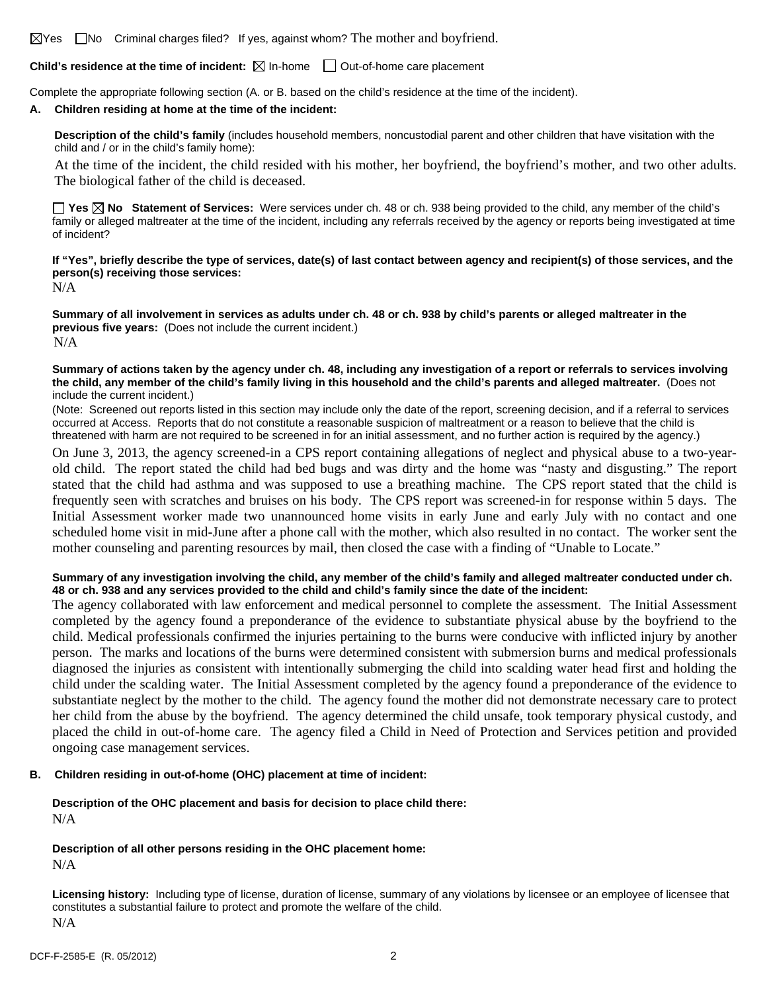$\boxtimes$  Yes  $\Box$  No Criminal charges filed? If yes, against whom? The mother and boyfriend.

#### **Child's residence at the time of incident:**  $\boxtimes$  In-home  $\Box$  Out-of-home care placement

Complete the appropriate following section (A. or B. based on the child's residence at the time of the incident).

#### **A. Children residing at home at the time of the incident:**

**Description of the child's family** (includes household members, noncustodial parent and other children that have visitation with the child and / or in the child's family home):

 At the time of the incident, the child resided with his mother, her boyfriend, the boyfriend's mother, and two other adults. The biological father of the child is deceased.

**Yes No Statement of Services:** Were services under ch. 48 or ch. 938 being provided to the child, any member of the child's family or alleged maltreater at the time of the incident, including any referrals received by the agency or reports being investigated at time of incident?

## **If "Yes", briefly describe the type of services, date(s) of last contact between agency and recipient(s) of those services, and the person(s) receiving those services:**

N/A

**Summary of all involvement in services as adults under ch. 48 or ch. 938 by child's parents or alleged maltreater in the previous five years:** (Does not include the current incident.) N/A

#### **Summary of actions taken by the agency under ch. 48, including any investigation of a report or referrals to services involving the child, any member of the child's family living in this household and the child's parents and alleged maltreater.** (Does not include the current incident.)

(Note: Screened out reports listed in this section may include only the date of the report, screening decision, and if a referral to services occurred at Access. Reports that do not constitute a reasonable suspicion of maltreatment or a reason to believe that the child is threatened with harm are not required to be screened in for an initial assessment, and no further action is required by the agency.)

On June 3, 2013, the agency screened-in a CPS report containing allegations of neglect and physical abuse to a two-yearold child. The report stated the child had bed bugs and was dirty and the home was "nasty and disgusting." The report stated that the child had asthma and was supposed to use a breathing machine. The CPS report stated that the child is frequently seen with scratches and bruises on his body. The CPS report was screened-in for response within 5 days. The Initial Assessment worker made two unannounced home visits in early June and early July with no contact and one scheduled home visit in mid-June after a phone call with the mother, which also resulted in no contact. The worker sent the mother counseling and parenting resources by mail, then closed the case with a finding of "Unable to Locate."

#### **Summary of any investigation involving the child, any member of the child's family and alleged maltreater conducted under ch. 48 or ch. 938 and any services provided to the child and child's family since the date of the incident:**

The agency collaborated with law enforcement and medical personnel to complete the assessment. The Initial Assessment completed by the agency found a preponderance of the evidence to substantiate physical abuse by the boyfriend to the child. Medical professionals confirmed the injuries pertaining to the burns were conducive with inflicted injury by another person. The marks and locations of the burns were determined consistent with submersion burns and medical professionals diagnosed the injuries as consistent with intentionally submerging the child into scalding water head first and holding the child under the scalding water. The Initial Assessment completed by the agency found a preponderance of the evidence to substantiate neglect by the mother to the child. The agency found the mother did not demonstrate necessary care to protect her child from the abuse by the boyfriend. The agency determined the child unsafe, took temporary physical custody, and placed the child in out-of-home care. The agency filed a Child in Need of Protection and Services petition and provided ongoing case management services.

#### **B. Children residing in out-of-home (OHC) placement at time of incident:**

#### **Description of the OHC placement and basis for decision to place child there:**  N/A

# **Description of all other persons residing in the OHC placement home:**

N/A

**Licensing history:** Including type of license, duration of license, summary of any violations by licensee or an employee of licensee that constitutes a substantial failure to protect and promote the welfare of the child. N/A